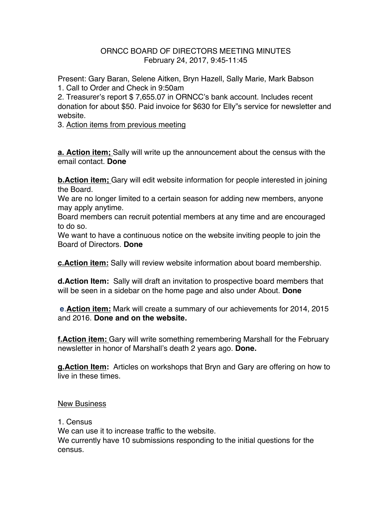## ORNCC BOARD OF DIRECTORS MEETING MINUTES February 24, 2017, 9:45-11:45

Present: Gary Baran, Selene Aitken, Bryn Hazell, Sally Marie, Mark Babson 1. Call to Order and Check in 9:50am

2. Treasurer's report \$ 7,655.07 in ORNCC's bank account. Includes recent donation for about \$50. Paid invoice for \$630 for Elly"s service for newsletter and website.

3. Action items from previous meeting

**a. Action item;** Sally will write up the announcement about the census with the email contact. **Done**

**b.Action item;** Gary will edit website information for people interested in joining the Board.

We are no longer limited to a certain season for adding new members, anyone may apply anytime.

Board members can recruit potential members at any time and are encouraged to do so.

We want to have a continuous notice on the website inviting people to join the Board of Directors. **Done**

**c.Action item:** Sally will review website information about board membership.

**d.Action Item:** Sally will draft an invitation to prospective board members that will be seen in a sidebar on the home page and also under About. **Done**

**e**.**Action item:** Mark will create a summary of our achievements for 2014, 2015 and 2016. **Done and on the website.**

**f.Action item:** Gary will write something remembering Marshall for the February newsletter in honor of Marshall's death 2 years ago. **Done.**

**g.Action Item:** Articles on workshops that Bryn and Gary are offering on how to live in these times.

## New Business

1. Census We can use it to increase traffic to the website.

We currently have 10 submissions responding to the initial questions for the census.